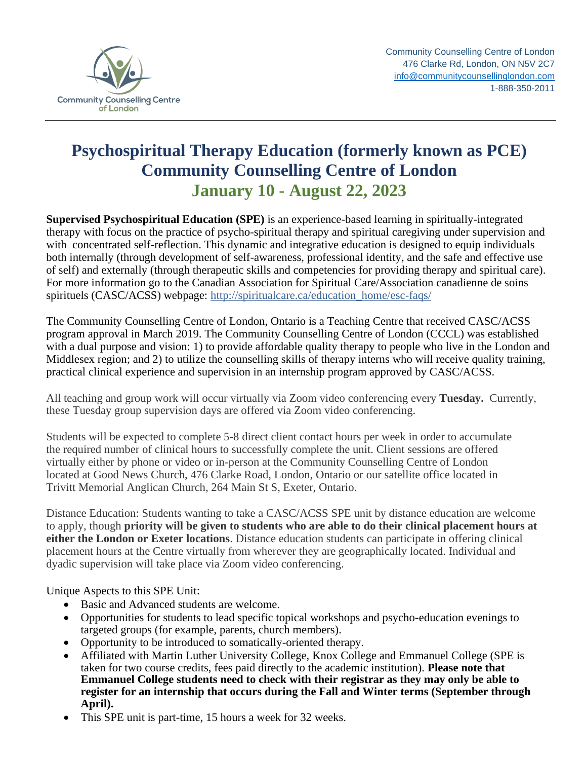

## **Psychospiritual Therapy Education (formerly known as PCE) Community Counselling Centre of London January 10 - August 22, 2023**

**Supervised Psychospiritual Education (SPE)** is an experience-based learning in spiritually-integrated therapy with focus on the practice of psycho-spiritual therapy and spiritual caregiving under supervision and with concentrated self-reflection. This dynamic and integrative education is designed to equip individuals both internally (through development of self-awareness, professional identity, and the safe and effective use of self) and externally (through therapeutic skills and competencies for providing therapy and spiritual care). For more information go to the Canadian Association for Spiritual Care/Association canadienne de soins spirituels (CASC/ACSS) webpage: http://spiritualcare.ca/education\_home/esc-faqs/

The Community Counselling Centre of London, Ontario is a Teaching Centre that received CASC/ACSS program approval in March 2019. The Community Counselling Centre of London (CCCL) was established with a dual purpose and vision: 1) to provide affordable quality therapy to people who live in the London and Middlesex region; and 2) to utilize the counselling skills of therapy interns who will receive quality training, practical clinical experience and supervision in an internship program approved by CASC/ACSS.

All teaching and group work will occur virtually via Zoom video conferencing every **Tuesday.** Currently, these Tuesday group supervision days are offered via Zoom video conferencing.

Students will be expected to complete 5-8 direct client contact hours per week in order to accumulate the required number of clinical hours to successfully complete the unit. Client sessions are offered virtually either by phone or video or in-person at the Community Counselling Centre of London located at Good News Church, 476 Clarke Road, London, Ontario or our satellite office located in Trivitt Memorial Anglican Church, 264 Main St S, Exeter, Ontario.

Distance Education: Students wanting to take a CASC/ACSS SPE unit by distance education are welcome to apply, though **priority will be given to students who are able to do their clinical placement hours at either the London or Exeter locations**. Distance education students can participate in offering clinical placement hours at the Centre virtually from wherever they are geographically located. Individual and dyadic supervision will take place via Zoom video conferencing.

Unique Aspects to this SPE Unit:

- Basic and Advanced students are welcome.
- Opportunities for students to lead specific topical workshops and psycho-education evenings to targeted groups (for example, parents, church members).
- Opportunity to be introduced to somatically-oriented therapy.
- Affiliated with Martin Luther University College, Knox College and Emmanuel College (SPE is taken for two course credits, fees paid directly to the academic institution). **Please note that Emmanuel College students need to check with their registrar as they may only be able to register for an internship that occurs during the Fall and Winter terms (September through April).**
- This SPE unit is part-time, 15 hours a week for 32 weeks.